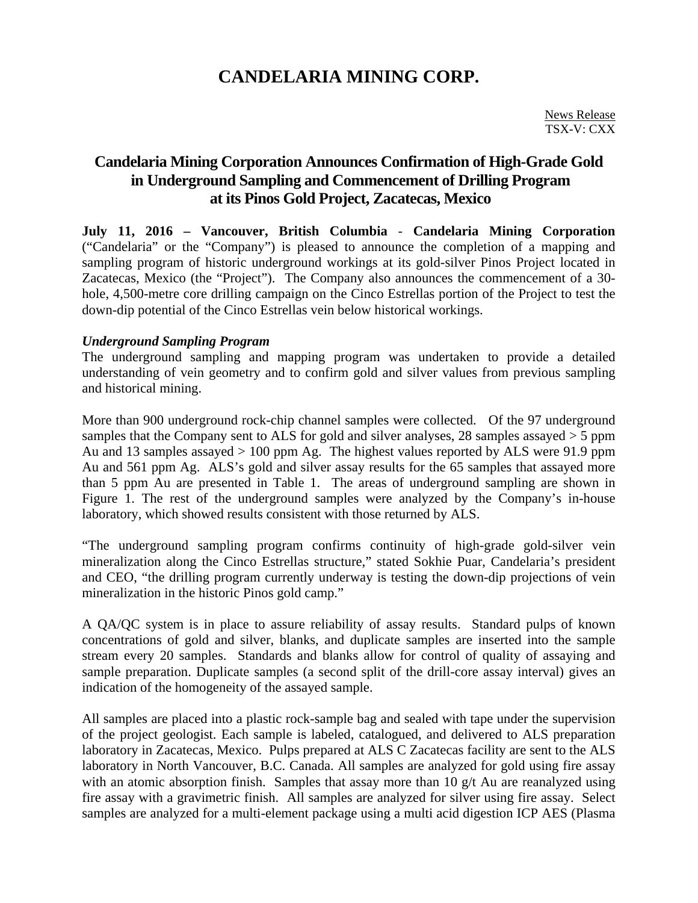## **CANDELARIA MINING CORP.**

## **Candelaria Mining Corporation Announces Confirmation of High-Grade Gold in Underground Sampling and Commencement of Drilling Program at its Pinos Gold Project, Zacatecas, Mexico**

**July 11, 2016 – Vancouver, British Columbia** - **Candelaria Mining Corporation** ("Candelaria" or the "Company") is pleased to announce the completion of a mapping and sampling program of historic underground workings at its gold-silver Pinos Project located in Zacatecas, Mexico (the "Project"). The Company also announces the commencement of a 30 hole, 4,500-metre core drilling campaign on the Cinco Estrellas portion of the Project to test the down-dip potential of the Cinco Estrellas vein below historical workings.

## *Underground Sampling Program*

The underground sampling and mapping program was undertaken to provide a detailed understanding of vein geometry and to confirm gold and silver values from previous sampling and historical mining.

More than 900 underground rock-chip channel samples were collected. Of the 97 underground samples that the Company sent to ALS for gold and silver analyses, 28 samples assayed  $>$  5 ppm Au and 13 samples assayed > 100 ppm Ag. The highest values reported by ALS were 91.9 ppm Au and 561 ppm Ag. ALS's gold and silver assay results for the 65 samples that assayed more than 5 ppm Au are presented in Table 1. The areas of underground sampling are shown in Figure 1. The rest of the underground samples were analyzed by the Company's in-house laboratory, which showed results consistent with those returned by ALS.

"The underground sampling program confirms continuity of high-grade gold-silver vein mineralization along the Cinco Estrellas structure," stated Sokhie Puar, Candelaria's president and CEO, "the drilling program currently underway is testing the down-dip projections of vein mineralization in the historic Pinos gold camp."

A QA/QC system is in place to assure reliability of assay results. Standard pulps of known concentrations of gold and silver, blanks, and duplicate samples are inserted into the sample stream every 20 samples. Standards and blanks allow for control of quality of assaying and sample preparation. Duplicate samples (a second split of the drill-core assay interval) gives an indication of the homogeneity of the assayed sample.

All samples are placed into a plastic rock-sample bag and sealed with tape under the supervision of the project geologist. Each sample is labeled, catalogued, and delivered to ALS preparation laboratory in Zacatecas, Mexico. Pulps prepared at ALS C Zacatecas facility are sent to the ALS laboratory in North Vancouver, B.C. Canada. All samples are analyzed for gold using fire assay with an atomic absorption finish. Samples that assay more than 10 g/t Au are reanalyzed using fire assay with a gravimetric finish. All samples are analyzed for silver using fire assay. Select samples are analyzed for a multi-element package using a multi acid digestion ICP AES (Plasma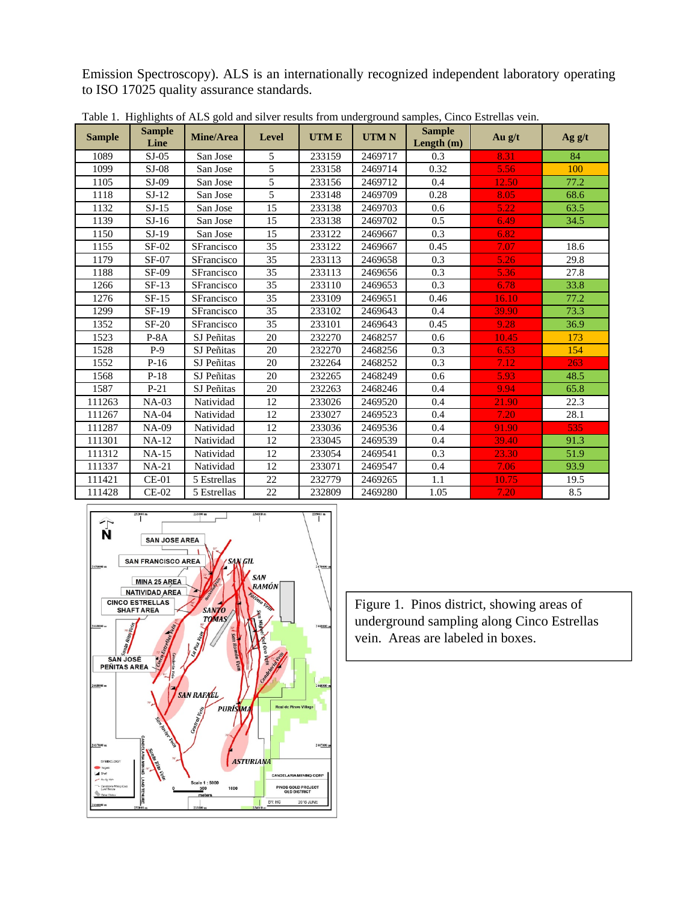Emission Spectroscopy). ALS is an internationally recognized independent laboratory operating to ISO 17025 quality assurance standards.

| <b>Sample</b> | <b>Sample</b><br>Line | <b>Mine/Area</b> | <b>Level</b> | <b>UTME</b> | <b>UTMN</b> | <b>Sample</b><br>Length $(m)$ | Au $g/t$ | Ag g/t |
|---------------|-----------------------|------------------|--------------|-------------|-------------|-------------------------------|----------|--------|
| 1089          | $SI-05$               | San Jose         | 5            | 233159      | 2469717     | 0.3                           | 8.31     | 84     |
| 1099          | $SI-08$               | San Jose         | 5            | 233158      | 2469714     | 0.32                          | 5.56     | 100    |
| 1105          | $SJ-09$               | San Jose         | 5            | 233156      | 2469712     | 0.4                           | 12.50    | 77.2   |
| 1118          | $SI-12$               | San Jose         | 5            | 233148      | 2469709     | 0.28                          | 8.05     | 68.6   |
| 1132          | $SI-15$               | San Jose         | 15           | 233138      | 2469703     | 0.6                           | 5.22     | 63.5   |
| 1139          | $SI-16$               | San Jose         | 15           | 233138      | 2469702     | 0.5                           | 6.49     | 34.5   |
| 1150          | $SJ-19$               | San Jose         | 15           | 233122      | 2469667     | 0.3                           | 6.82     |        |
| 1155          | $SF-02$               | SFrancisco       | 35           | 233122      | 2469667     | 0.45                          | 7.07     | 18.6   |
| 1179          | <b>SF-07</b>          | SFrancisco       | 35           | 233113      | 2469658     | 0.3                           | 5.26     | 29.8   |
| 1188          | SF-09                 | SFrancisco       | 35           | 233113      | 2469656     | 0.3                           | 5.36     | 27.8   |
| 1266          | $SF-13$               | SFrancisco       | 35           | 233110      | 2469653     | 0.3                           | 6.78     | 33.8   |
| 1276          | $SF-15$               | SFrancisco       | 35           | 233109      | 2469651     | 0.46                          | 16.10    | 77.2   |
| 1299          | SF-19                 | SFrancisco       | 35           | 233102      | 2469643     | 0.4                           | 39.90    | 73.3   |
| 1352          | $SF-20$               | SFrancisco       | 35           | 233101      | 2469643     | 0.45                          | 9.28     | 36.9   |
| 1523          | $P-8A$                | SJ Peñitas       | 20           | 232270      | 2468257     | 0.6                           | 10.45    | 173    |
| 1528          | $P-9$                 | SJ Peñitas       | 20           | 232270      | 2468256     | 0.3                           | 6.53     | 154    |
| 1552          | $P-16$                | SJ Peñitas       | 20           | 232264      | 2468252     | 0.3                           | 7.12     | 263    |
| 1568          | $P-18$                | SJ Peñitas       | 20           | 232265      | 2468249     | 0.6                           | 5.93     | 48.5   |
| 1587          | $P-21$                | SJ Peñitas       | 20           | 232263      | 2468246     | 0.4                           | 9.94     | 65.8   |
| 111263        | $NA-03$               | Natividad        | 12           | 233026      | 2469520     | 0.4                           | 21.90    | 22.3   |
| 111267        | $NA-04$               | Natividad        | 12           | 233027      | 2469523     | 0.4                           | 7.20     | 28.1   |
| 111287        | <b>NA-09</b>          | Natividad        | 12           | 233036      | 2469536     | 0.4                           | 91.90    | 535    |
| 111301        | $NA-12$               | Natividad        | 12           | 233045      | 2469539     | 0.4                           | 39.40    | 91.3   |
| 111312        | $NA-15$               | Natividad        | 12           | 233054      | 2469541     | 0.3                           | 23.30    | 51.9   |
| 111337        | $NA-21$               | Natividad        | 12           | 233071      | 2469547     | 0.4                           | 7.06     | 93.9   |
| 111421        | $CE-01$               | 5 Estrellas      | 22           | 232779      | 2469265     | 1.1                           | 10.75    | 19.5   |
| 111428        | $CE-02$               | 5 Estrellas      | 22           | 232809      | 2469280     | 1.05                          | 7.20     | 8.5    |

Table 1. Highlights of ALS gold and silver results from underground samples, Cinco Estrellas vein.



Figure 1. Pinos district, showing areas of underground sampling along Cinco Estrellas vein. Areas are labeled in boxes.